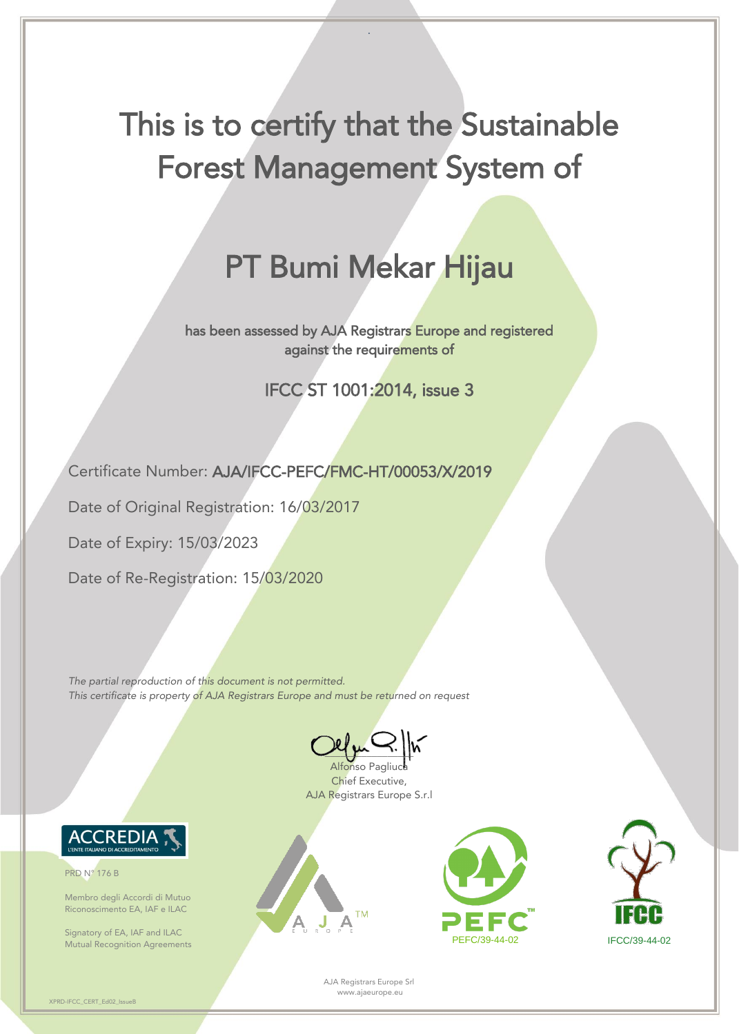AJA Registrars Europe Srl www.ajaeurope.eu

XPRD-IFCC\_CERT\_Ed02\_IssueB

.

## This is to certify that the Sustainable Forest Management System of

## PT Bumi Mekar Hijau

has been assessed by AJA Registrars Europe and registered against the requirements of

IFCC ST 1001:2014, issue 3

 $\sim$ Alfonso Pagliuca

Certificate Number: AJA/IFCC-PEFC/FMC-HT/00053/X/2019

Date of Original Registration: 16/03/2017

Signatory of EA, IAF and ILAC Mutual Recognition Agreements **PEFC/39-44-02** PEFC/39-44-02 IFCC/39-44-02





Date of Expiry: 15/03/2023

Date of Re-Registration: 15/03/2020

*The partial reproduction of this document is not permitted. This certificate is property of AJA Registrars Europe and must be returned on request*

> Chief Executive, AJA Registrars Europe S.r.l



PRD N° 176 B

Membro degli Accordi di Mutuo Riconoscimento EA, IAF e ILAC